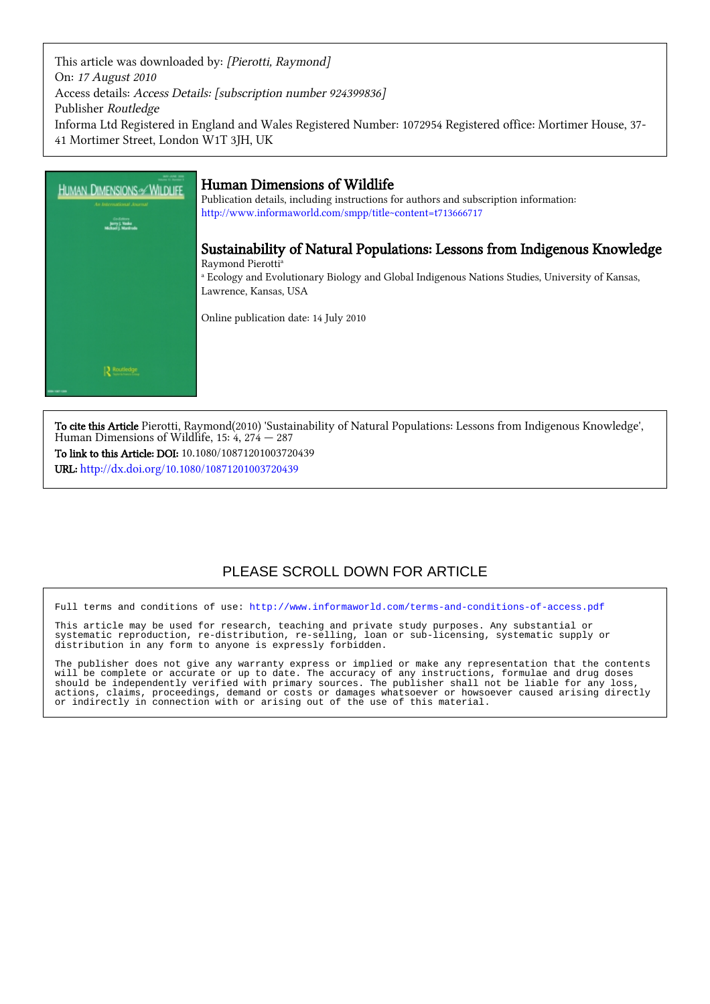This article was downloaded by: [Pierotti, Raymond] On: 17 August 2010 Access details: Access Details: [subscription number 924399836] Publisher Routledge Informa Ltd Registered in England and Wales Registered Number: 1072954 Registered office: Mortimer House, 37- 41 Mortimer Street, London W1T 3JH, UK



To cite this Article Pierotti, Raymond(2010) 'Sustainability of Natural Populations: Lessons from Indigenous Knowledge', Human Dimensions of Wildlife,  $15: 4$ ,  $274 - 287$ To link to this Article: DOI: 10.1080/10871201003720439

URL: <http://dx.doi.org/10.1080/10871201003720439>

## PLEASE SCROLL DOWN FOR ARTICLE

Full terms and conditions of use:<http://www.informaworld.com/terms-and-conditions-of-access.pdf>

This article may be used for research, teaching and private study purposes. Any substantial or systematic reproduction, re-distribution, re-selling, loan or sub-licensing, systematic supply or distribution in any form to anyone is expressly forbidden.

The publisher does not give any warranty express or implied or make any representation that the contents will be complete or accurate or up to date. The accuracy of any instructions, formulae and drug doses should be independently verified with primary sources. The publisher shall not be liable for any loss, actions, claims, proceedings, demand or costs or damages whatsoever or howsoever caused arising directly or indirectly in connection with or arising out of the use of this material.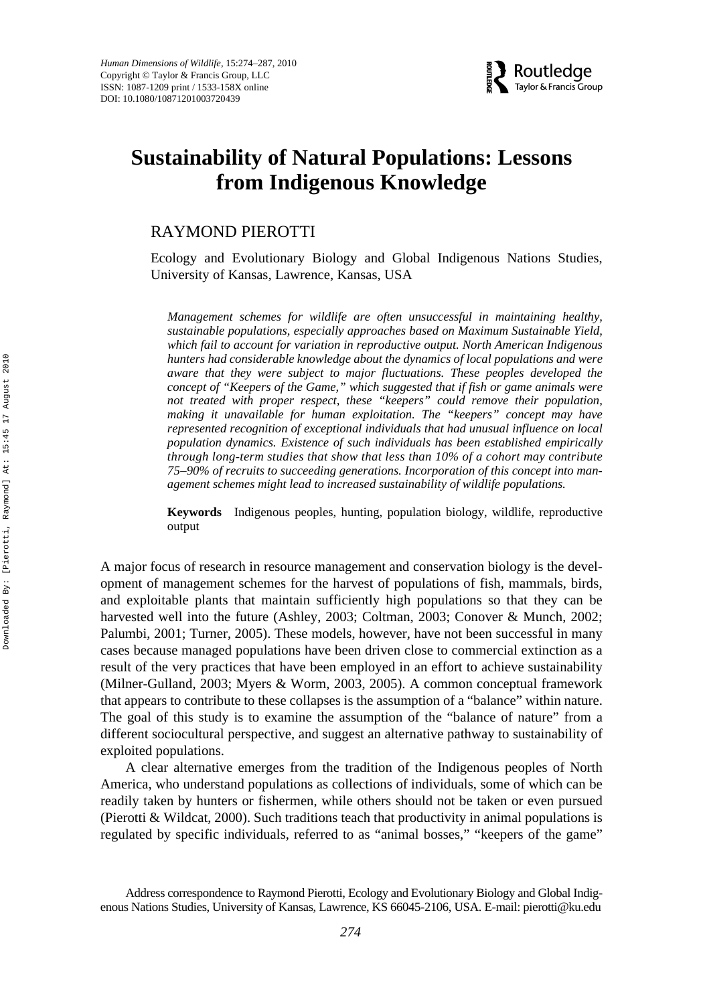

# **Sustainability of Natural Populations: Lessons from Indigenous Knowledge**

## RAYMOND PIEROTTI

Ecology and Evolutionary Biology and Global Indigenous Nations Studies, University of Kansas, Lawrence, Kansas, USA

*Management schemes for wildlife are often unsuccessful in maintaining healthy, sustainable populations, especially approaches based on Maximum Sustainable Yield, which fail to account for variation in reproductive output. North American Indigenous hunters had considerable knowledge about the dynamics of local populations and were aware that they were subject to major fluctuations. These peoples developed the concept of "Keepers of the Game," which suggested that if fish or game animals were not treated with proper respect, these "keepers" could remove their population, making it unavailable for human exploitation. The "keepers" concept may have represented recognition of exceptional individuals that had unusual influence on local population dynamics. Existence of such individuals has been established empirically through long-term studies that show that less than 10% of a cohort may contribute 75–90% of recruits to succeeding generations. Incorporation of this concept into management schemes might lead to increased sustainability of wildlife populations.*

**Keywords** Indigenous peoples, hunting, population biology, wildlife, reproductive output

A major focus of research in resource management and conservation biology is the development of management schemes for the harvest of populations of fish, mammals, birds, and exploitable plants that maintain sufficiently high populations so that they can be harvested well into the future (Ashley, 2003; Coltman, 2003; Conover & Munch, 2002; Palumbi, 2001; Turner, 2005). These models, however, have not been successful in many cases because managed populations have been driven close to commercial extinction as a result of the very practices that have been employed in an effort to achieve sustainability (Milner-Gulland, 2003; Myers & Worm, 2003, 2005). A common conceptual framework that appears to contribute to these collapses is the assumption of a "balance" within nature. The goal of this study is to examine the assumption of the "balance of nature" from a different sociocultural perspective, and suggest an alternative pathway to sustainability of exploited populations.

A clear alternative emerges from the tradition of the Indigenous peoples of North America, who understand populations as collections of individuals, some of which can be readily taken by hunters or fishermen, while others should not be taken or even pursued (Pierotti & Wildcat, 2000). Such traditions teach that productivity in animal populations is regulated by specific individuals, referred to as "animal bosses," "keepers of the game"

Address correspondence to Raymond Pierotti, Ecology and Evolutionary Biology and Global Indigenous Nations Studies, University of Kansas, Lawrence, KS 66045-2106, USA. E-mail: pierotti@ku.edu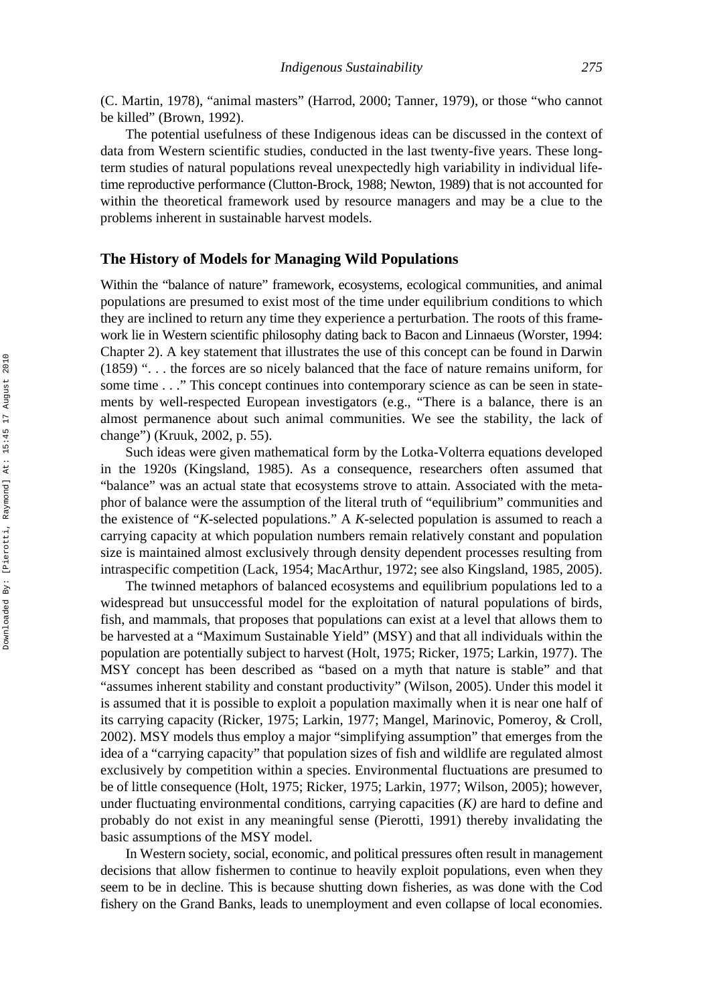(C. Martin, 1978), "animal masters" (Harrod, 2000; Tanner, 1979), or those "who cannot be killed" (Brown, 1992).

The potential usefulness of these Indigenous ideas can be discussed in the context of data from Western scientific studies, conducted in the last twenty-five years. These longterm studies of natural populations reveal unexpectedly high variability in individual lifetime reproductive performance (Clutton-Brock, 1988; Newton, 1989) that is not accounted for within the theoretical framework used by resource managers and may be a clue to the problems inherent in sustainable harvest models.

## **The History of Models for Managing Wild Populations**

Within the "balance of nature" framework, ecosystems, ecological communities, and animal populations are presumed to exist most of the time under equilibrium conditions to which they are inclined to return any time they experience a perturbation. The roots of this framework lie in Western scientific philosophy dating back to Bacon and Linnaeus (Worster, 1994: Chapter 2). A key statement that illustrates the use of this concept can be found in Darwin (1859) ". . . the forces are so nicely balanced that the face of nature remains uniform, for some time . . ." This concept continues into contemporary science as can be seen in statements by well-respected European investigators (e.g., "There is a balance, there is an almost permanence about such animal communities. We see the stability, the lack of change") (Kruuk, 2002, p. 55).

Such ideas were given mathematical form by the Lotka-Volterra equations developed in the 1920s (Kingsland, 1985). As a consequence, researchers often assumed that "balance" was an actual state that ecosystems strove to attain. Associated with the metaphor of balance were the assumption of the literal truth of "equilibrium" communities and the existence of "*K*-selected populations." A *K*-selected population is assumed to reach a carrying capacity at which population numbers remain relatively constant and population size is maintained almost exclusively through density dependent processes resulting from intraspecific competition (Lack, 1954; MacArthur, 1972; see also Kingsland, 1985, 2005).

The twinned metaphors of balanced ecosystems and equilibrium populations led to a widespread but unsuccessful model for the exploitation of natural populations of birds, fish, and mammals, that proposes that populations can exist at a level that allows them to be harvested at a "Maximum Sustainable Yield" (MSY) and that all individuals within the population are potentially subject to harvest (Holt, 1975; Ricker, 1975; Larkin, 1977). The MSY concept has been described as "based on a myth that nature is stable" and that "assumes inherent stability and constant productivity" (Wilson, 2005). Under this model it is assumed that it is possible to exploit a population maximally when it is near one half of its carrying capacity (Ricker, 1975; Larkin, 1977; Mangel, Marinovic, Pomeroy, & Croll, 2002). MSY models thus employ a major "simplifying assumption" that emerges from the idea of a "carrying capacity" that population sizes of fish and wildlife are regulated almost exclusively by competition within a species. Environmental fluctuations are presumed to be of little consequence (Holt, 1975; Ricker, 1975; Larkin, 1977; Wilson, 2005); however, under fluctuating environmental conditions, carrying capacities (*K)* are hard to define and probably do not exist in any meaningful sense (Pierotti, 1991) thereby invalidating the basic assumptions of the MSY model.

In Western society, social, economic, and political pressures often result in management decisions that allow fishermen to continue to heavily exploit populations, even when they seem to be in decline. This is because shutting down fisheries, as was done with the Cod fishery on the Grand Banks, leads to unemployment and even collapse of local economies.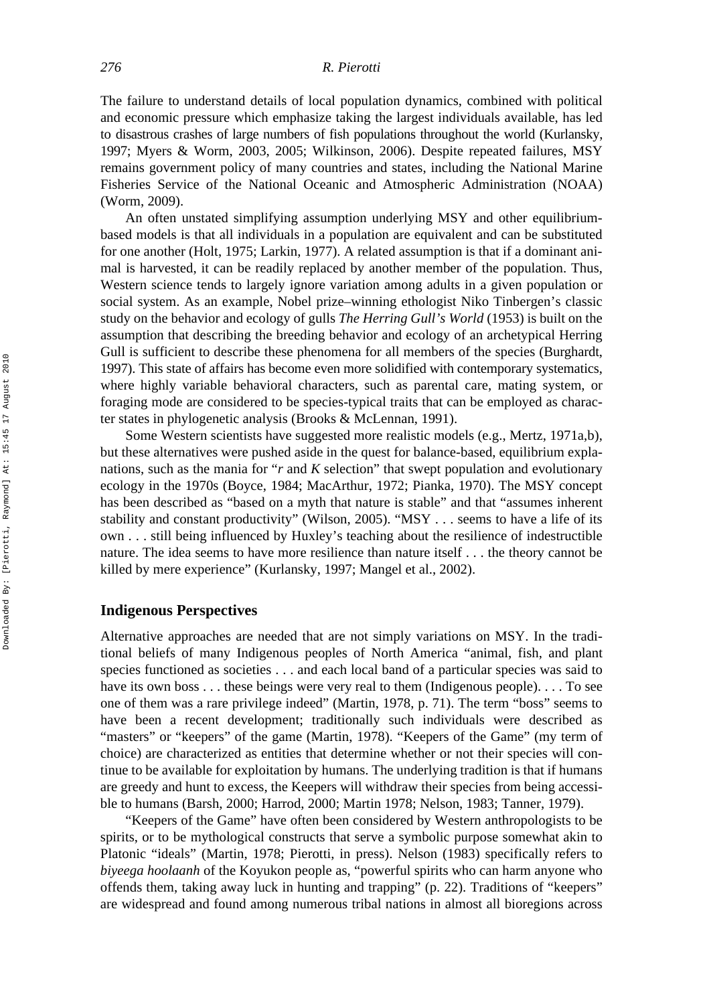The failure to understand details of local population dynamics, combined with political and economic pressure which emphasize taking the largest individuals available, has led to disastrous crashes of large numbers of fish populations throughout the world (Kurlansky, 1997; Myers & Worm, 2003, 2005; Wilkinson, 2006). Despite repeated failures, MSY remains government policy of many countries and states, including the National Marine Fisheries Service of the National Oceanic and Atmospheric Administration (NOAA) (Worm, 2009).

An often unstated simplifying assumption underlying MSY and other equilibriumbased models is that all individuals in a population are equivalent and can be substituted for one another (Holt, 1975; Larkin, 1977). A related assumption is that if a dominant animal is harvested, it can be readily replaced by another member of the population. Thus, Western science tends to largely ignore variation among adults in a given population or social system. As an example, Nobel prize–winning ethologist Niko Tinbergen's classic study on the behavior and ecology of gulls *The Herring Gull's World* (1953) is built on the assumption that describing the breeding behavior and ecology of an archetypical Herring Gull is sufficient to describe these phenomena for all members of the species (Burghardt, 1997). This state of affairs has become even more solidified with contemporary systematics, where highly variable behavioral characters, such as parental care, mating system, or foraging mode are considered to be species-typical traits that can be employed as character states in phylogenetic analysis (Brooks & McLennan, 1991).

Some Western scientists have suggested more realistic models (e.g., Mertz, 1971a,b), but these alternatives were pushed aside in the quest for balance-based, equilibrium explanations, such as the mania for "*r* and *K* selection" that swept population and evolutionary ecology in the 1970s (Boyce, 1984; MacArthur, 1972; Pianka, 1970). The MSY concept has been described as "based on a myth that nature is stable" and that "assumes inherent stability and constant productivity" (Wilson, 2005). "MSY . . . seems to have a life of its own . . . still being influenced by Huxley's teaching about the resilience of indestructible nature. The idea seems to have more resilience than nature itself . . . the theory cannot be killed by mere experience" (Kurlansky, 1997; Mangel et al., 2002).

#### **Indigenous Perspectives**

Alternative approaches are needed that are not simply variations on MSY. In the traditional beliefs of many Indigenous peoples of North America "animal, fish, and plant species functioned as societies . . . and each local band of a particular species was said to have its own boss . . . these beings were very real to them (Indigenous people). . . . To see one of them was a rare privilege indeed" (Martin, 1978, p. 71). The term "boss" seems to have been a recent development; traditionally such individuals were described as "masters" or "keepers" of the game (Martin, 1978). "Keepers of the Game" (my term of choice) are characterized as entities that determine whether or not their species will continue to be available for exploitation by humans. The underlying tradition is that if humans are greedy and hunt to excess, the Keepers will withdraw their species from being accessible to humans (Barsh, 2000; Harrod, 2000; Martin 1978; Nelson, 1983; Tanner, 1979).

"Keepers of the Game" have often been considered by Western anthropologists to be spirits, or to be mythological constructs that serve a symbolic purpose somewhat akin to Platonic "ideals" (Martin, 1978; Pierotti, in press). Nelson (1983) specifically refers to *biyeega hoolaanh* of the Koyukon people as, "powerful spirits who can harm anyone who offends them, taking away luck in hunting and trapping" (p. 22). Traditions of "keepers" are widespread and found among numerous tribal nations in almost all bioregions across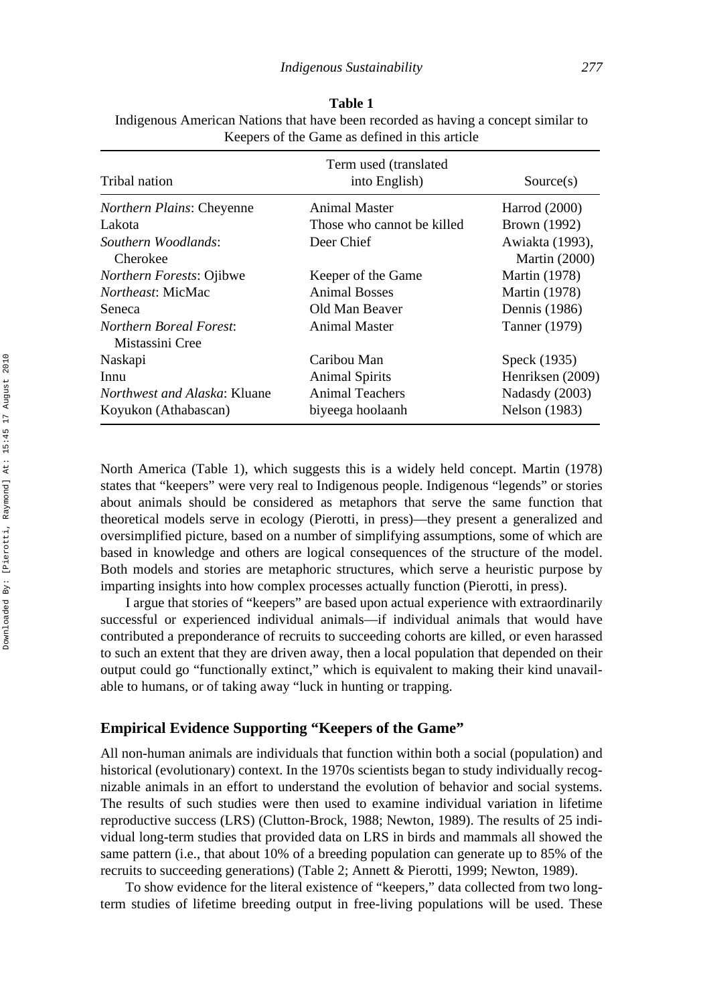| Tribal nation                       | Term used (translated<br>into English) | Source(s)            |
|-------------------------------------|----------------------------------------|----------------------|
| <i>Northern Plains: Cheyenne</i>    | Animal Master                          | Harrod (2000)        |
| Lakota                              | Those who cannot be killed             | Brown (1992)         |
| Southern Woodlands:                 | Deer Chief                             | Awiakta (1993),      |
| Cherokee                            |                                        | <b>Martin</b> (2000) |
| <i>Northern Forests: Ojibwe</i>     | Keeper of the Game                     | <b>Martin</b> (1978) |
| <i>Northeast:</i> MicMac            | <b>Animal Bosses</b>                   | <b>Martin</b> (1978) |
| Seneca                              | Old Man Beaver                         | Dennis (1986)        |
| <b>Northern Boreal Forest:</b>      | Animal Master                          | Tanner (1979)        |
| Mistassini Cree                     |                                        |                      |
| Naskapi                             | Caribou Man                            | Speck (1935)         |
| Innu                                | <b>Animal Spirits</b>                  | Henriksen (2009)     |
| <i>Northwest and Alaska: Kluane</i> | <b>Animal Teachers</b>                 | Nadasdy (2003)       |
| Koyukon (Athabascan)                | biyeega hoolaanh                       | Nelson (1983)        |

**Table 1** Indigenous American Nations that have been recorded as having a concept similar to Keepers of the Game as defined in this article

North America (Table 1), which suggests this is a widely held concept. Martin (1978) states that "keepers" were very real to Indigenous people. Indigenous "legends" or stories about animals should be considered as metaphors that serve the same function that theoretical models serve in ecology (Pierotti, in press)—they present a generalized and oversimplified picture, based on a number of simplifying assumptions, some of which are based in knowledge and others are logical consequences of the structure of the model. Both models and stories are metaphoric structures, which serve a heuristic purpose by imparting insights into how complex processes actually function (Pierotti, in press).

I argue that stories of "keepers" are based upon actual experience with extraordinarily successful or experienced individual animals—if individual animals that would have contributed a preponderance of recruits to succeeding cohorts are killed, or even harassed to such an extent that they are driven away, then a local population that depended on their output could go "functionally extinct," which is equivalent to making their kind unavailable to humans, or of taking away "luck in hunting or trapping.

## **Empirical Evidence Supporting "Keepers of the Game"**

All non-human animals are individuals that function within both a social (population) and historical (evolutionary) context. In the 1970s scientists began to study individually recognizable animals in an effort to understand the evolution of behavior and social systems. The results of such studies were then used to examine individual variation in lifetime reproductive success (LRS) (Clutton-Brock, 1988; Newton, 1989). The results of 25 individual long-term studies that provided data on LRS in birds and mammals all showed the same pattern (i.e., that about 10% of a breeding population can generate up to 85% of the recruits to succeeding generations) (Table 2; Annett & Pierotti, 1999; Newton, 1989).

To show evidence for the literal existence of "keepers," data collected from two longterm studies of lifetime breeding output in free-living populations will be used. These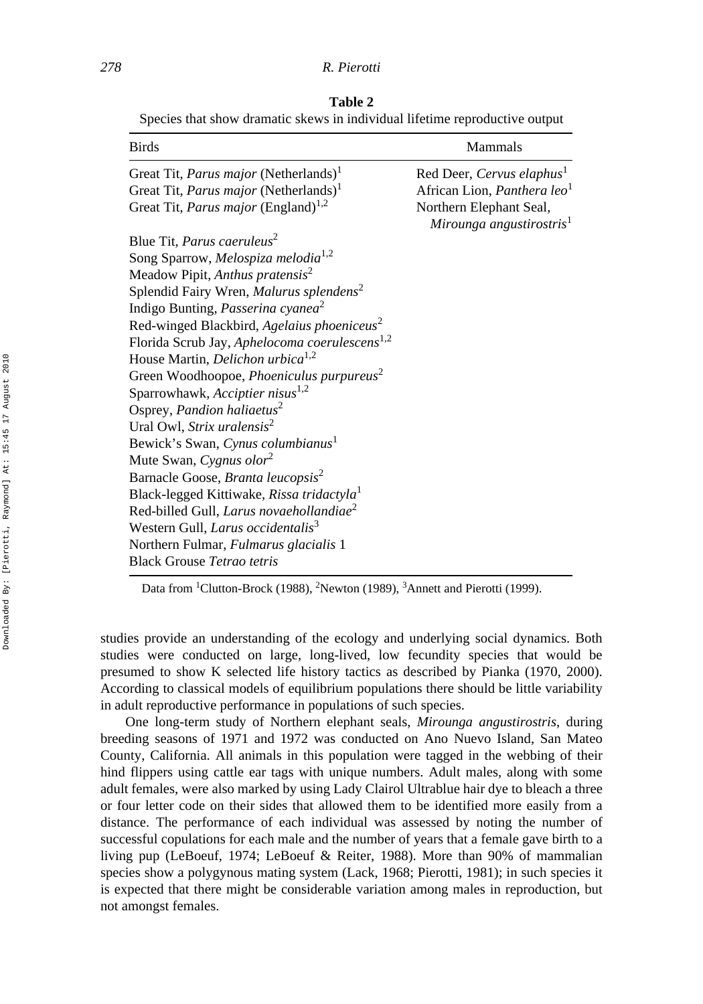**Table 2** Species that show dramatic skews in individual lifetime reproductive output

| <b>Birds</b>                                              | Mammals                                                         |
|-----------------------------------------------------------|-----------------------------------------------------------------|
| Great Tit, <i>Parus major</i> (Netherlands) <sup>1</sup>  | Red Deer, Cervus elaphus <sup>1</sup>                           |
| Great Tit, <i>Parus major</i> (Netherlands) <sup>1</sup>  | African Lion, <i>Panthera leo</i> <sup>1</sup>                  |
| Great Tit, <i>Parus major</i> (England) <sup>1,2</sup>    | Northern Elephant Seal,<br>Mirounga angustirostris <sup>1</sup> |
| Blue Tit, Parus caeruleus <sup>2</sup>                    |                                                                 |
| Song Sparrow, Melospiza melodia <sup>1,2</sup>            |                                                                 |
| Meadow Pipit, Anthus pratensis <sup>2</sup>               |                                                                 |
| Splendid Fairy Wren, Malurus splendens <sup>2</sup>       |                                                                 |
| Indigo Bunting, Passerina cyanea <sup>2</sup>             |                                                                 |
| Red-winged Blackbird, Agelaius phoeniceus <sup>2</sup>    |                                                                 |
| Florida Scrub Jay, Aphelocoma coerulescens <sup>1,2</sup> |                                                                 |
| House Martin, Delichon urbica <sup>1,2</sup>              |                                                                 |
| Green Woodhoopoe, Phoeniculus purpureus <sup>2</sup>      |                                                                 |
| Sparrowhawk, Acciptier nisus <sup>1,2</sup>               |                                                                 |
| Osprey, Pandion haliaetus <sup>2</sup>                    |                                                                 |
| Ural Owl, Strix uralensis <sup>2</sup>                    |                                                                 |
| Bewick's Swan, Cynus columbianus <sup>1</sup>             |                                                                 |
| Mute Swan, Cygnus olor <sup>2</sup>                       |                                                                 |
| Barnacle Goose, Branta leucopsis <sup>2</sup>             |                                                                 |
| Black-legged Kittiwake, Rissa tridactyla <sup>1</sup>     |                                                                 |
| Red-billed Gull, Larus novaehollandiae <sup>2</sup>       |                                                                 |
| Western Gull, Larus occidentalis <sup>3</sup>             |                                                                 |
| Northern Fulmar, Fulmarus glacialis 1                     |                                                                 |
| <b>Black Grouse Tetrao tetris</b>                         |                                                                 |

Data from <sup>1</sup>Clutton-Brock (1988), <sup>2</sup>Newton (1989), <sup>3</sup>Annett and Pierotti (1999).

studies provide an understanding of the ecology and underlying social dynamics. Both studies were conducted on large, long-lived, low fecundity species that would be presumed to show K selected life history tactics as described by Pianka (1970, 2000). According to classical models of equilibrium populations there should be little variability in adult reproductive performance in populations of such species.

One long-term study of Northern elephant seals, *Mirounga angustirostris*, during breeding seasons of 1971 and 1972 was conducted on Ano Nuevo Island, San Mateo County, California. All animals in this population were tagged in the webbing of their hind flippers using cattle ear tags with unique numbers. Adult males, along with some adult females, were also marked by using Lady Clairol Ultrablue hair dye to bleach a three or four letter code on their sides that allowed them to be identified more easily from a distance. The performance of each individual was assessed by noting the number of successful copulations for each male and the number of years that a female gave birth to a living pup (LeBoeuf, 1974; LeBoeuf & Reiter, 1988). More than 90% of mammalian species show a polygynous mating system (Lack, 1968; Pierotti, 1981); in such species it is expected that there might be considerable variation among males in reproduction, but not amongst females.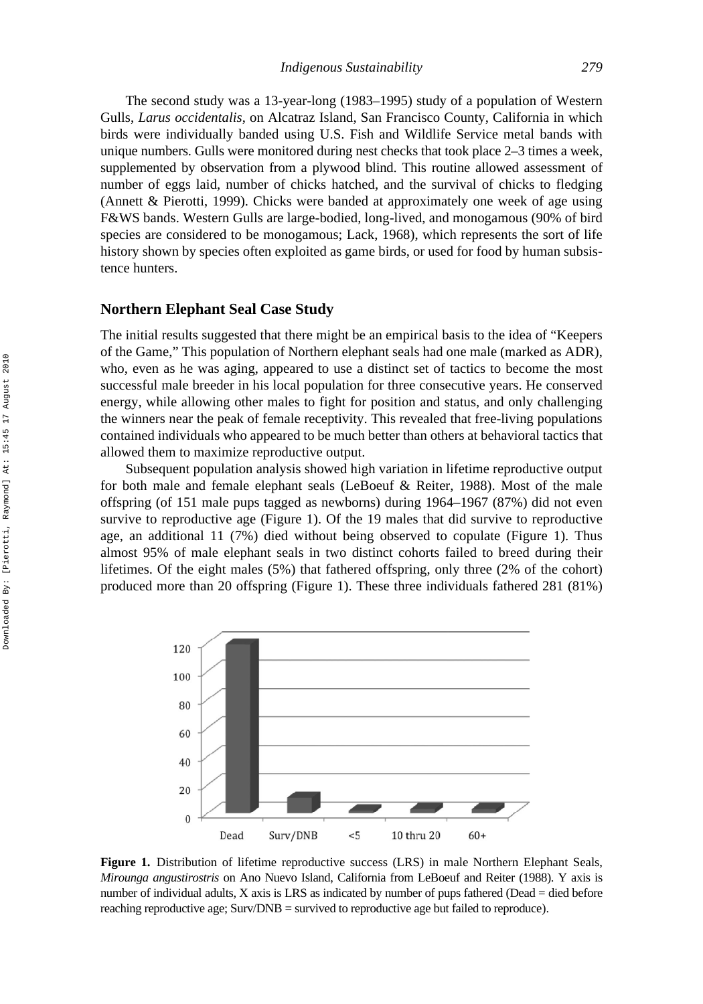The second study was a 13-year-long (1983–1995) study of a population of Western Gulls, *Larus occidentalis*, on Alcatraz Island, San Francisco County, California in which birds were individually banded using U.S. Fish and Wildlife Service metal bands with unique numbers. Gulls were monitored during nest checks that took place 2–3 times a week, supplemented by observation from a plywood blind. This routine allowed assessment of number of eggs laid, number of chicks hatched, and the survival of chicks to fledging (Annett & Pierotti, 1999). Chicks were banded at approximately one week of age using F&WS bands. Western Gulls are large-bodied, long-lived, and monogamous (90% of bird species are considered to be monogamous; Lack, 1968), which represents the sort of life history shown by species often exploited as game birds, or used for food by human subsistence hunters.

## **Northern Elephant Seal Case Study**

The initial results suggested that there might be an empirical basis to the idea of "Keepers of the Game," This population of Northern elephant seals had one male (marked as ADR), who, even as he was aging, appeared to use a distinct set of tactics to become the most successful male breeder in his local population for three consecutive years. He conserved energy, while allowing other males to fight for position and status, and only challenging the winners near the peak of female receptivity. This revealed that free-living populations contained individuals who appeared to be much better than others at behavioral tactics that allowed them to maximize reproductive output.

Subsequent population analysis showed high variation in lifetime reproductive output for both male and female elephant seals (LeBoeuf & Reiter, 1988). Most of the male offspring (of 151 male pups tagged as newborns) during 1964–1967 (87%) did not even survive to reproductive age (Figure 1). Of the 19 males that did survive to reproductive age, an additional 11 (7%) died without being observed to copulate (Figure 1). Thus almost 95% of male elephant seals in two distinct cohorts failed to breed during their lifetimes. Of the eight males (5%) that fathered offspring, only three (2% of the cohort) produced more than 20 offspring (Figure 1). These three individuals fathered 281 (81%)



**Figure 1.** Distribution of lifetime reproductive success (LRS) in male Northern Elephant Seals, *Mirounga angustirostris* on Ano Nuevo Island, California from LeBoeuf and Reiter (1988). Y axis is number of individual adults, X axis is LRS as indicated by number of pups fathered (Dead = died before reaching reproductive age; Surv/DNB = survived to reproductive age but failed to reproduce).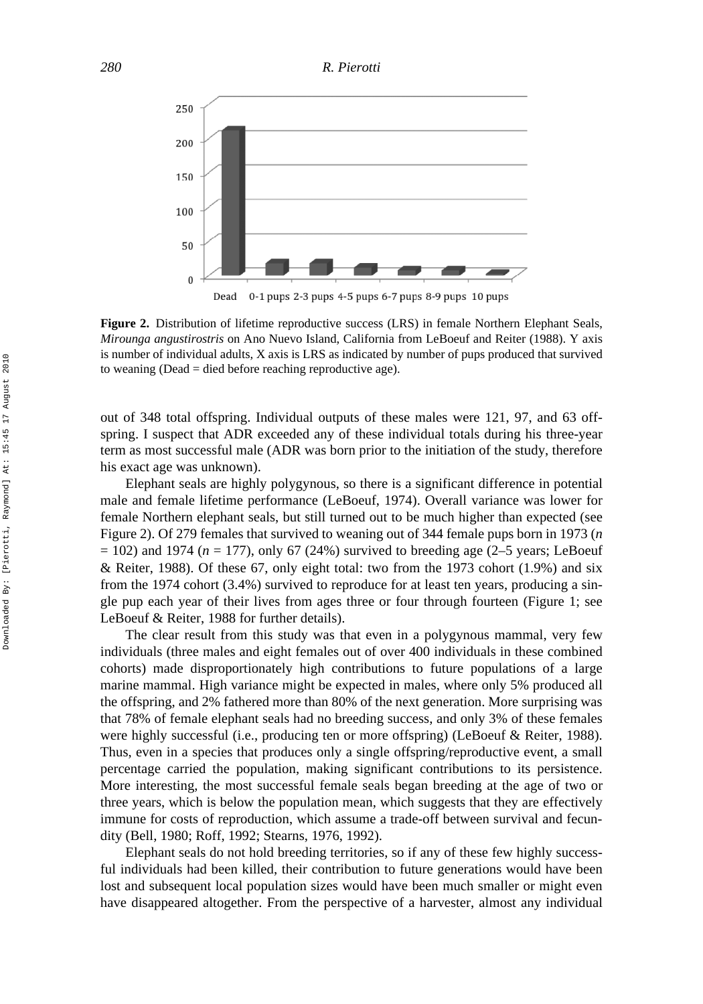

**Figure 2.** Distribution of lifetime reproductive success (LRS) in female Northern Elephant Seals, *Mirounga angustirostris* on Ano Nuevo Island, California from LeBoeuf and Reiter (1988). Y axis is number of individual adults, X axis is LRS as indicated by number of pups produced that survived to weaning (Dead = died before reaching reproductive age).

out of 348 total offspring. Individual outputs of these males were 121, 97, and 63 offspring. I suspect that ADR exceeded any of these individual totals during his three-year term as most successful male (ADR was born prior to the initiation of the study, therefore his exact age was unknown).

Elephant seals are highly polygynous, so there is a significant difference in potential male and female lifetime performance (LeBoeuf, 1974). Overall variance was lower for female Northern elephant seals, but still turned out to be much higher than expected (see Figure 2). Of 279 females that survived to weaning out of 344 female pups born in 1973 (*n*  $= 102$ ) and 1974 ( $n = 177$ ), only 67 (24%) survived to breeding age (2–5 years; LeBoeuf & Reiter, 1988). Of these 67, only eight total: two from the 1973 cohort (1.9%) and six from the 1974 cohort (3.4%) survived to reproduce for at least ten years, producing a single pup each year of their lives from ages three or four through fourteen (Figure 1; see LeBoeuf & Reiter, 1988 for further details).

The clear result from this study was that even in a polygynous mammal, very few individuals (three males and eight females out of over 400 individuals in these combined cohorts) made disproportionately high contributions to future populations of a large marine mammal. High variance might be expected in males, where only 5% produced all the offspring, and 2% fathered more than 80% of the next generation. More surprising was that 78% of female elephant seals had no breeding success, and only 3% of these females were highly successful (i.e., producing ten or more offspring) (LeBoeuf & Reiter, 1988). Thus, even in a species that produces only a single offspring/reproductive event, a small percentage carried the population, making significant contributions to its persistence. More interesting, the most successful female seals began breeding at the age of two or three years, which is below the population mean, which suggests that they are effectively immune for costs of reproduction, which assume a trade-off between survival and fecundity (Bell, 1980; Roff, 1992; Stearns, 1976, 1992).

Elephant seals do not hold breeding territories, so if any of these few highly successful individuals had been killed, their contribution to future generations would have been lost and subsequent local population sizes would have been much smaller or might even have disappeared altogether. From the perspective of a harvester, almost any individual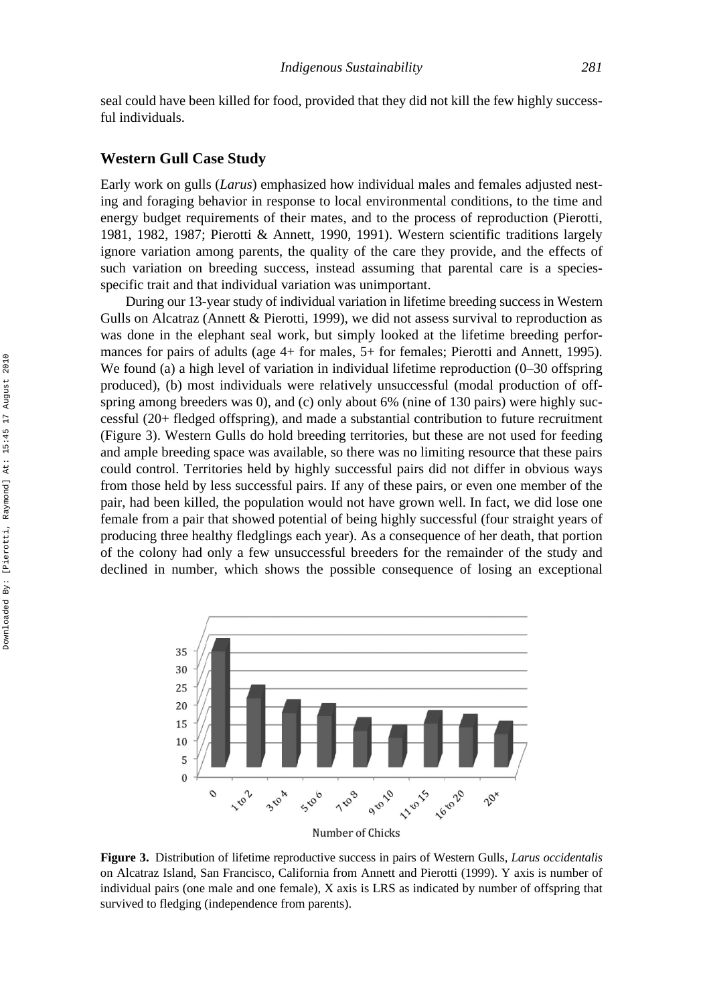seal could have been killed for food, provided that they did not kill the few highly successful individuals.

#### **Western Gull Case Study**

Early work on gulls (*Larus*) emphasized how individual males and females adjusted nesting and foraging behavior in response to local environmental conditions, to the time and energy budget requirements of their mates, and to the process of reproduction (Pierotti, 1981, 1982, 1987; Pierotti & Annett, 1990, 1991). Western scientific traditions largely ignore variation among parents, the quality of the care they provide, and the effects of such variation on breeding success, instead assuming that parental care is a speciesspecific trait and that individual variation was unimportant.

During our 13-year study of individual variation in lifetime breeding success in Western Gulls on Alcatraz (Annett & Pierotti, 1999), we did not assess survival to reproduction as was done in the elephant seal work, but simply looked at the lifetime breeding performances for pairs of adults (age 4+ for males, 5+ for females; Pierotti and Annett, 1995). We found (a) a high level of variation in individual lifetime reproduction (0–30 offspring produced), (b) most individuals were relatively unsuccessful (modal production of offspring among breeders was 0), and (c) only about 6% (nine of 130 pairs) were highly successful (20+ fledged offspring), and made a substantial contribution to future recruitment (Figure 3). Western Gulls do hold breeding territories, but these are not used for feeding and ample breeding space was available, so there was no limiting resource that these pairs could control. Territories held by highly successful pairs did not differ in obvious ways from those held by less successful pairs. If any of these pairs, or even one member of the pair, had been killed, the population would not have grown well. In fact, we did lose one female from a pair that showed potential of being highly successful (four straight years of producing three healthy fledglings each year). As a consequence of her death, that portion of the colony had only a few unsuccessful breeders for the remainder of the study and declined in number, which shows the possible consequence of losing an exceptional



**Figure 3.** Distribution of lifetime reproductive success in pairs of Western Gulls, *Larus occidentalis* on Alcatraz Island, San Francisco, California from Annett and Pierotti (1999). Y axis is number of individual pairs (one male and one female), X axis is LRS as indicated by number of offspring that survived to fledging (independence from parents).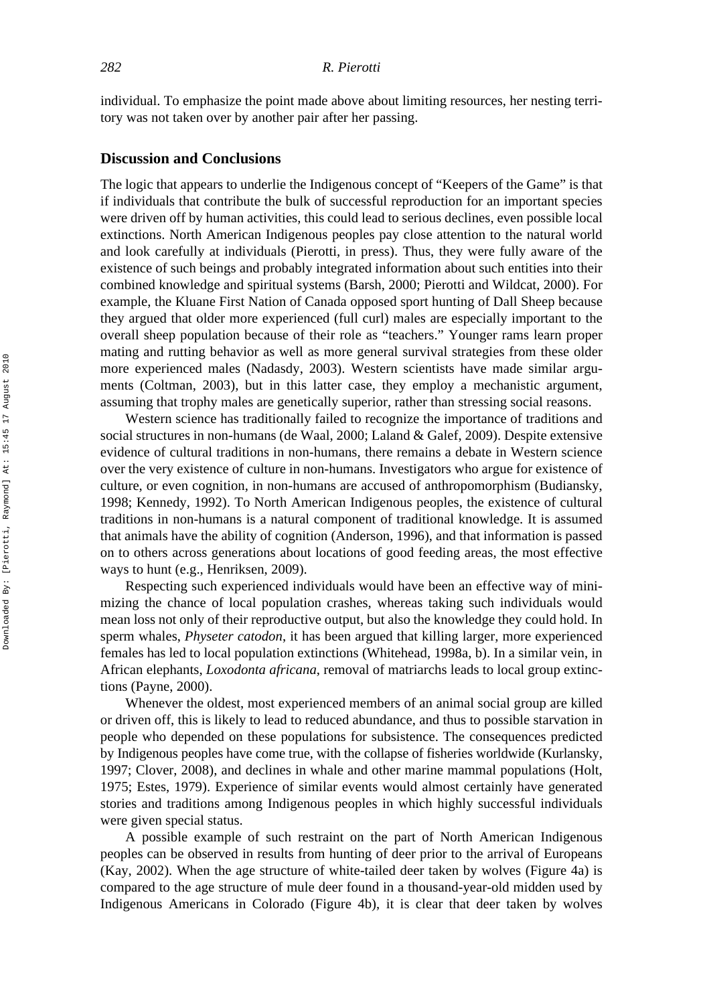individual. To emphasize the point made above about limiting resources, her nesting territory was not taken over by another pair after her passing.

#### **Discussion and Conclusions**

The logic that appears to underlie the Indigenous concept of "Keepers of the Game" is that if individuals that contribute the bulk of successful reproduction for an important species were driven off by human activities, this could lead to serious declines, even possible local extinctions. North American Indigenous peoples pay close attention to the natural world and look carefully at individuals (Pierotti, in press). Thus, they were fully aware of the existence of such beings and probably integrated information about such entities into their combined knowledge and spiritual systems (Barsh, 2000; Pierotti and Wildcat, 2000). For example, the Kluane First Nation of Canada opposed sport hunting of Dall Sheep because they argued that older more experienced (full curl) males are especially important to the overall sheep population because of their role as "teachers." Younger rams learn proper mating and rutting behavior as well as more general survival strategies from these older more experienced males (Nadasdy, 2003). Western scientists have made similar arguments (Coltman, 2003), but in this latter case, they employ a mechanistic argument, assuming that trophy males are genetically superior, rather than stressing social reasons.

Western science has traditionally failed to recognize the importance of traditions and social structures in non-humans (de Waal, 2000; Laland & Galef, 2009). Despite extensive evidence of cultural traditions in non-humans, there remains a debate in Western science over the very existence of culture in non-humans. Investigators who argue for existence of culture, or even cognition, in non-humans are accused of anthropomorphism (Budiansky, 1998; Kennedy, 1992). To North American Indigenous peoples, the existence of cultural traditions in non-humans is a natural component of traditional knowledge. It is assumed that animals have the ability of cognition (Anderson, 1996), and that information is passed on to others across generations about locations of good feeding areas, the most effective ways to hunt (e.g., Henriksen, 2009).

Respecting such experienced individuals would have been an effective way of minimizing the chance of local population crashes, whereas taking such individuals would mean loss not only of their reproductive output, but also the knowledge they could hold. In sperm whales, *Physeter catodon*, it has been argued that killing larger, more experienced females has led to local population extinctions (Whitehead, 1998a, b). In a similar vein, in African elephants, *Loxodonta africana*, removal of matriarchs leads to local group extinctions (Payne, 2000).

Whenever the oldest, most experienced members of an animal social group are killed or driven off, this is likely to lead to reduced abundance, and thus to possible starvation in people who depended on these populations for subsistence. The consequences predicted by Indigenous peoples have come true, with the collapse of fisheries worldwide (Kurlansky, 1997; Clover, 2008), and declines in whale and other marine mammal populations (Holt, 1975; Estes, 1979). Experience of similar events would almost certainly have generated stories and traditions among Indigenous peoples in which highly successful individuals were given special status.

A possible example of such restraint on the part of North American Indigenous peoples can be observed in results from hunting of deer prior to the arrival of Europeans (Kay, 2002). When the age structure of white-tailed deer taken by wolves (Figure 4a) is compared to the age structure of mule deer found in a thousand-year-old midden used by Indigenous Americans in Colorado (Figure 4b), it is clear that deer taken by wolves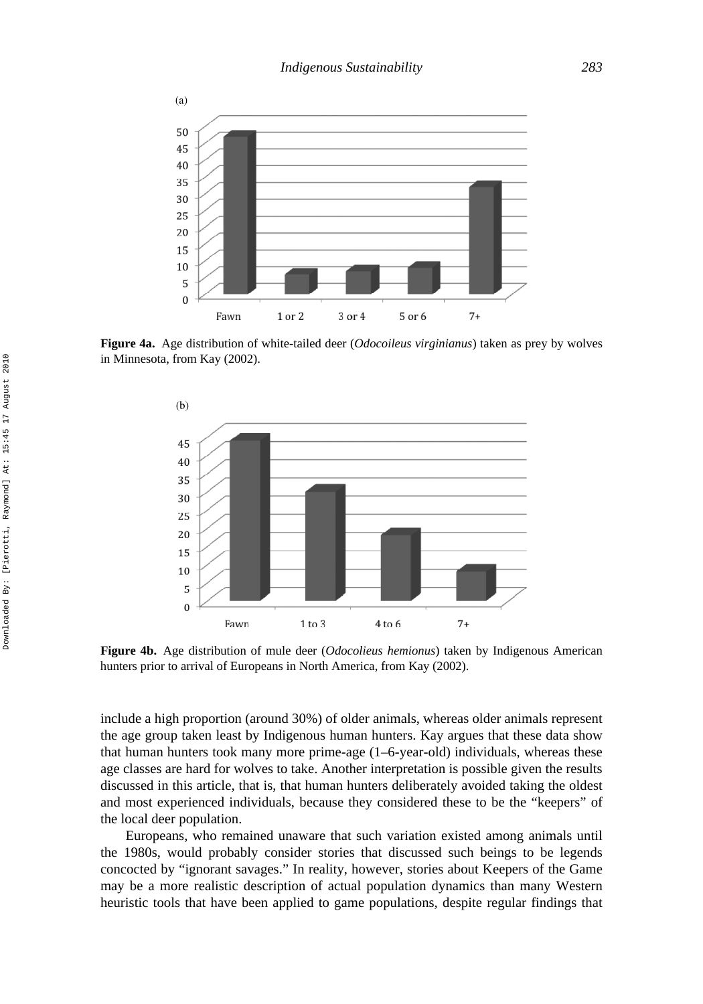

**Figure 4a.** Age distribution of white-tailed deer (*Odocoileus virginianus*) taken as prey by wolves in Minnesota, from Kay (2002).



**Figure 4b.** Age distribution of mule deer (*Odocolieus hemionus*) taken by Indigenous American hunters prior to arrival of Europeans in North America, from Kay (2002).

include a high proportion (around 30%) of older animals, whereas older animals represent the age group taken least by Indigenous human hunters. Kay argues that these data show that human hunters took many more prime-age (1–6-year-old) individuals, whereas these age classes are hard for wolves to take. Another interpretation is possible given the results discussed in this article, that is, that human hunters deliberately avoided taking the oldest and most experienced individuals, because they considered these to be the "keepers" of the local deer population.

Europeans, who remained unaware that such variation existed among animals until the 1980s, would probably consider stories that discussed such beings to be legends concocted by "ignorant savages." In reality, however, stories about Keepers of the Game may be a more realistic description of actual population dynamics than many Western heuristic tools that have been applied to game populations, despite regular findings that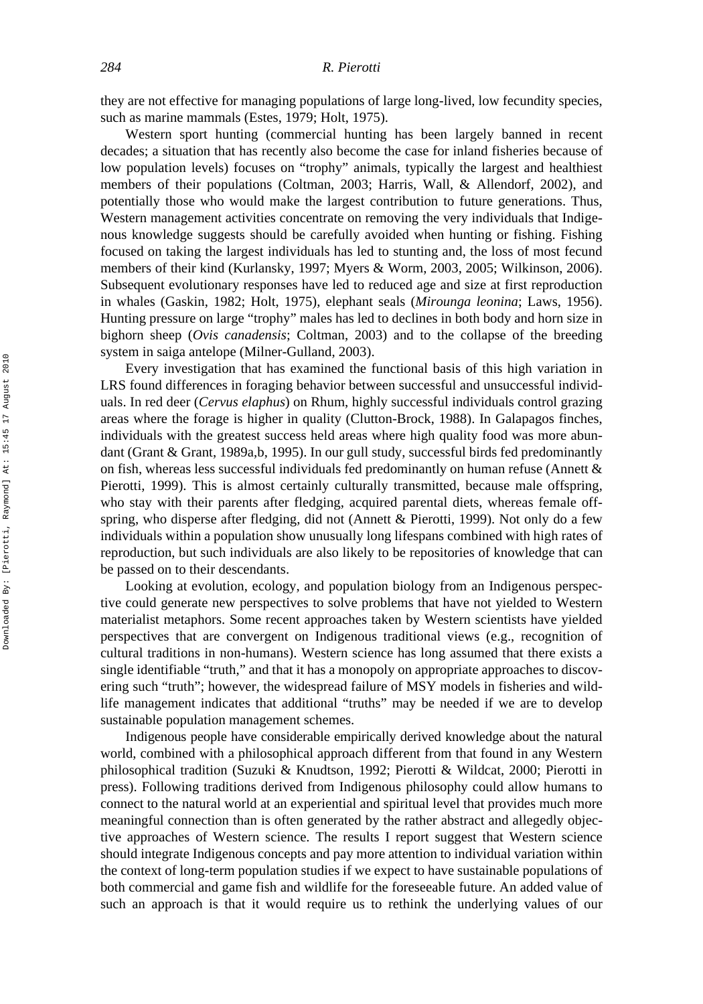they are not effective for managing populations of large long-lived, low fecundity species, such as marine mammals (Estes, 1979; Holt, 1975).

Western sport hunting (commercial hunting has been largely banned in recent decades; a situation that has recently also become the case for inland fisheries because of low population levels) focuses on "trophy" animals, typically the largest and healthiest members of their populations (Coltman, 2003; Harris, Wall, & Allendorf, 2002), and potentially those who would make the largest contribution to future generations. Thus, Western management activities concentrate on removing the very individuals that Indigenous knowledge suggests should be carefully avoided when hunting or fishing. Fishing focused on taking the largest individuals has led to stunting and, the loss of most fecund members of their kind (Kurlansky, 1997; Myers & Worm, 2003, 2005; Wilkinson, 2006). Subsequent evolutionary responses have led to reduced age and size at first reproduction in whales (Gaskin, 1982; Holt, 1975), elephant seals (*Mirounga leonina*; Laws, 1956). Hunting pressure on large "trophy" males has led to declines in both body and horn size in bighorn sheep (*Ovis canadensis*; Coltman, 2003) and to the collapse of the breeding system in saiga antelope (Milner-Gulland, 2003).

Every investigation that has examined the functional basis of this high variation in LRS found differences in foraging behavior between successful and unsuccessful individuals. In red deer (*Cervus elaphus*) on Rhum, highly successful individuals control grazing areas where the forage is higher in quality (Clutton-Brock, 1988). In Galapagos finches, individuals with the greatest success held areas where high quality food was more abundant (Grant & Grant, 1989a,b, 1995). In our gull study, successful birds fed predominantly on fish, whereas less successful individuals fed predominantly on human refuse (Annett  $\&$ Pierotti, 1999). This is almost certainly culturally transmitted, because male offspring, who stay with their parents after fledging, acquired parental diets, whereas female offspring, who disperse after fledging, did not (Annett & Pierotti, 1999). Not only do a few individuals within a population show unusually long lifespans combined with high rates of reproduction, but such individuals are also likely to be repositories of knowledge that can be passed on to their descendants.

Looking at evolution, ecology, and population biology from an Indigenous perspective could generate new perspectives to solve problems that have not yielded to Western materialist metaphors. Some recent approaches taken by Western scientists have yielded perspectives that are convergent on Indigenous traditional views (e.g., recognition of cultural traditions in non-humans). Western science has long assumed that there exists a single identifiable "truth," and that it has a monopoly on appropriate approaches to discovering such "truth"; however, the widespread failure of MSY models in fisheries and wildlife management indicates that additional "truths" may be needed if we are to develop sustainable population management schemes.

Indigenous people have considerable empirically derived knowledge about the natural world, combined with a philosophical approach different from that found in any Western philosophical tradition (Suzuki & Knudtson, 1992; Pierotti & Wildcat, 2000; Pierotti in press). Following traditions derived from Indigenous philosophy could allow humans to connect to the natural world at an experiential and spiritual level that provides much more meaningful connection than is often generated by the rather abstract and allegedly objective approaches of Western science. The results I report suggest that Western science should integrate Indigenous concepts and pay more attention to individual variation within the context of long-term population studies if we expect to have sustainable populations of both commercial and game fish and wildlife for the foreseeable future. An added value of such an approach is that it would require us to rethink the underlying values of our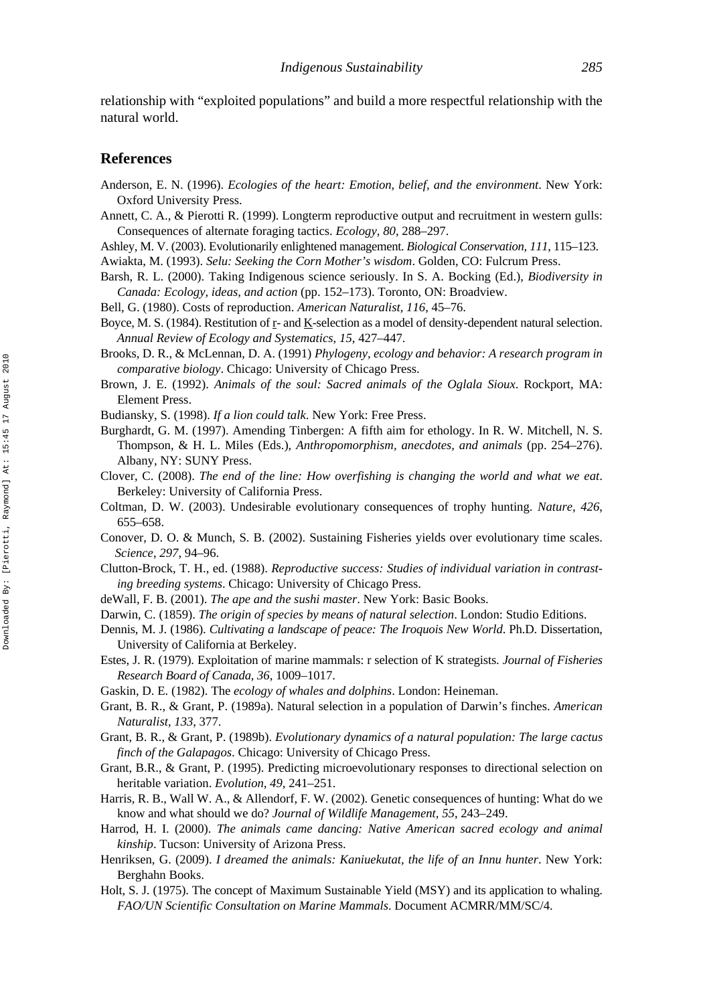relationship with "exploited populations" and build a more respectful relationship with the natural world.

#### **References**

- Anderson, E. N. (1996). *Ecologies of the heart: Emotion, belief, and the environment*. New York: Oxford University Press.
- Annett, C. A., & Pierotti R. (1999). Longterm reproductive output and recruitment in western gulls: Consequences of alternate foraging tactics. *Ecology, 80*, 288–297.
- Ashley, M. V. (2003). Evolutionarily enlightened management. *Biological Conservation, 111*, 115–123.
- Awiakta, M. (1993). *Selu: Seeking the Corn Mother's wisdom*. Golden, CO: Fulcrum Press.
- Barsh, R. L. (2000). Taking Indigenous science seriously. In S. A. Bocking (Ed.), *Biodiversity in Canada: Ecology, ideas, and action* (pp. 152–173). Toronto, ON: Broadview.
- Bell, G. (1980). Costs of reproduction. *American Naturalist, 116*, 45–76.
- Boyce, M. S. (1984). Restitution of  $r$  and  $K$ -selection as a model of density-dependent natural selection. *Annual Review of Ecology and Systematics, 15*, 427–447.
- Brooks, D. R., & McLennan, D. A. (1991) *Phylogeny, ecology and behavior: A research program in comparative biology*. Chicago: University of Chicago Press.
- Brown, J. E. (1992). *Animals of the soul: Sacred animals of the Oglala Sioux*. Rockport, MA: Element Press.
- Budiansky, S. (1998). *If a lion could talk*. New York: Free Press.
- Burghardt, G. M. (1997). Amending Tinbergen: A fifth aim for ethology. In R. W. Mitchell, N. S. Thompson, & H. L. Miles (Eds.), *Anthropomorphism, anecdotes, and animals* (pp. 254–276). Albany, NY: SUNY Press.
- Clover, C. (2008). *The end of the line: How overfishing is changing the world and what we eat*. Berkeley: University of California Press.
- Coltman, D. W. (2003). Undesirable evolutionary consequences of trophy hunting. *Nature, 426*, 655–658.
- Conover, D. O. & Munch, S. B. (2002). Sustaining Fisheries yields over evolutionary time scales. *Science*, *297*, 94–96.
- Clutton-Brock, T. H., ed. (1988). *Reproductive success: Studies of individual variation in contrasting breeding systems*. Chicago: University of Chicago Press.
- deWall, F. B. (2001). *The ape and the sushi master*. New York: Basic Books.
- Darwin, C. (1859). *The origin of species by means of natural selection*. London: Studio Editions.
- Dennis, M. J. (1986). *Cultivating a landscape of peace: The Iroquois New World*. Ph.D. Dissertation, University of California at Berkeley.
- Estes, J. R. (1979). Exploitation of marine mammals: r selection of K strategists. *Journal of Fisheries Research Board of Canada, 36*, 1009–1017.
- Gaskin, D. E. (1982). The *ecology of whales and dolphins*. London: Heineman.
- Grant, B. R., & Grant, P. (1989a). Natural selection in a population of Darwin's finches. *American Naturalist, 133*, 377.
- Grant, B. R., & Grant, P. (1989b). *Evolutionary dynamics of a natural population: The large cactus finch of the Galapagos*. Chicago: University of Chicago Press.
- Grant, B.R., & Grant, P. (1995). Predicting microevolutionary responses to directional selection on heritable variation. *Evolution, 49*, 241–251.
- Harris, R. B., Wall W. A., & Allendorf, F. W. (2002). Genetic consequences of hunting: What do we know and what should we do? *Journal of Wildlife Management, 55*, 243–249.
- Harrod, H. I. (2000). *The animals came dancing: Native American sacred ecology and animal kinship*. Tucson: University of Arizona Press.
- Henriksen, G. (2009). *I dreamed the animals: Kaniuekutat, the life of an Innu hunter*. New York: Berghahn Books.
- Holt, S. J. (1975). The concept of Maximum Sustainable Yield (MSY) and its application to whaling. *FAO/UN Scientific Consultation on Marine Mammals*. Document ACMRR/MM/SC/4.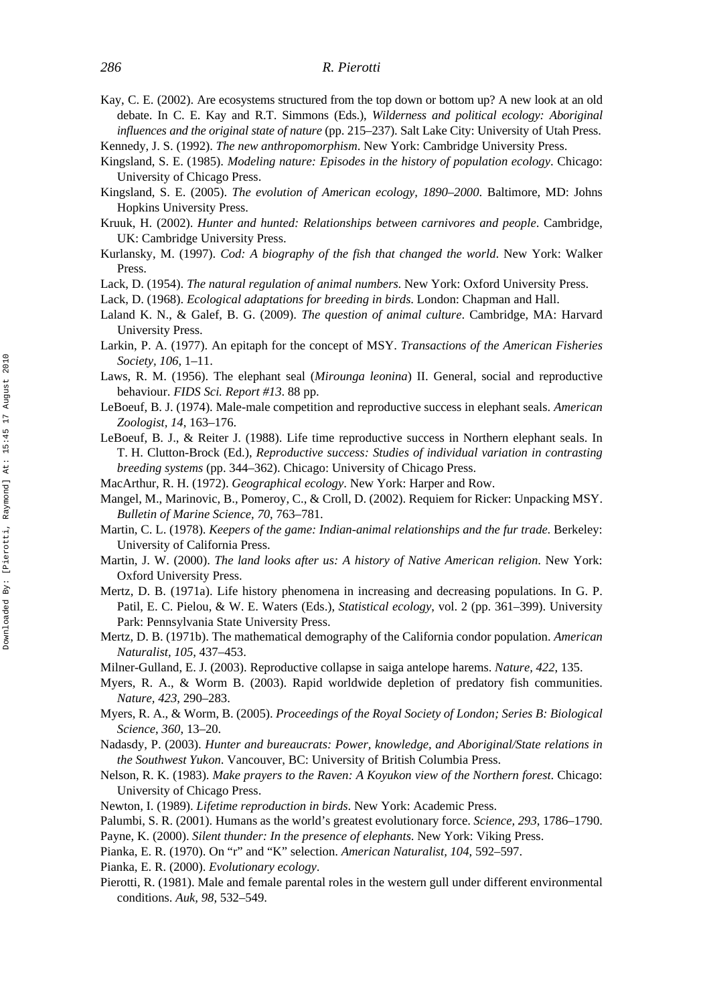#### *286 R. Pierotti*

Kay, C. E. (2002). Are ecosystems structured from the top down or bottom up? A new look at an old debate. In C. E. Kay and R.T. Simmons (Eds.), *Wilderness and political ecology: Aboriginal influences and the original state of nature* (pp. 215–237). Salt Lake City: University of Utah Press.

Kennedy, J. S. (1992). *The new anthropomorphism*. New York: Cambridge University Press.

- Kingsland, S. E. (1985). *Modeling nature: Episodes in the history of population ecology*. Chicago: University of Chicago Press.
- Kingsland, S. E. (2005). *The evolution of American ecology, 1890–2000*. Baltimore, MD: Johns Hopkins University Press.
- Kruuk, H. (2002). *Hunter and hunted: Relationships between carnivores and people*. Cambridge, UK: Cambridge University Press.
- Kurlansky, M. (1997). *Cod: A biography of the fish that changed the world*. New York: Walker Press.
- Lack, D. (1954). *The natural regulation of animal numbers*. New York: Oxford University Press.
- Lack, D. (1968). *Ecological adaptations for breeding in birds*. London: Chapman and Hall.
- Laland K. N., & Galef, B. G. (2009). *The question of animal culture*. Cambridge, MA: Harvard University Press.
- Larkin, P. A. (1977). An epitaph for the concept of MSY. *Transactions of the American Fisheries Society, 106*, 1–11.
- Laws, R. M. (1956). The elephant seal (*Mirounga leonina*) II. General, social and reproductive behaviour. *FIDS Sci. Report #13*. 88 pp.
- LeBoeuf, B. J. (1974). Male-male competition and reproductive success in elephant seals. *American Zoologist, 14*, 163–176.
- LeBoeuf, B. J., & Reiter J. (1988). Life time reproductive success in Northern elephant seals. In T. H. Clutton-Brock (Ed.), *Reproductive success: Studies of individual variation in contrasting breeding systems* (pp. 344–362). Chicago: University of Chicago Press.
- MacArthur, R. H. (1972). *Geographical ecology*. New York: Harper and Row.
- Mangel, M., Marinovic, B., Pomeroy, C., & Croll, D. (2002). Requiem for Ricker: Unpacking MSY. *Bulletin of Marine Science, 70*, 763–781.
- Martin, C. L. (1978). *Keepers of the game: Indian-animal relationships and the fur trade*. Berkeley: University of California Press.
- Martin, J. W. (2000). *The land looks after us: A history of Native American religion*. New York: Oxford University Press.
- Mertz, D. B. (1971a). Life history phenomena in increasing and decreasing populations. In G. P. Patil, E. C. Pielou, & W. E. Waters (Eds.), *Statistical ecology*, vol. 2 (pp. 361–399). University Park: Pennsylvania State University Press.
- Mertz, D. B. (1971b). The mathematical demography of the California condor population. *American Naturalist, 105*, 437–453.
- Milner-Gulland, E. J. (2003). Reproductive collapse in saiga antelope harems. *Nature, 422*, 135.
- Myers, R. A., & Worm B. (2003). Rapid worldwide depletion of predatory fish communities. *Nature, 423*, 290–283.
- Myers, R. A., & Worm, B. (2005). *Proceedings of the Royal Society of London; Series B: Biological Science*, *360*, 13–20.
- Nadasdy, P. (2003). *Hunter and bureaucrats: Power, knowledge, and Aboriginal/State relations in the Southwest Yukon*. Vancouver, BC: University of British Columbia Press.
- Nelson, R. K. (1983). *Make prayers to the Raven: A Koyukon view of the Northern forest*. Chicago: University of Chicago Press.
- Newton, I. (1989). *Lifetime reproduction in birds*. New York: Academic Press.
- Palumbi, S. R. (2001). Humans as the world's greatest evolutionary force. *Science, 293*, 1786–1790.
- Payne, K. (2000). *Silent thunder: In the presence of elephants*. New York: Viking Press.
- Pianka, E. R. (1970). On "r" and "K" selection. *American Naturalist, 104*, 592–597.
- Pianka, E. R. (2000). *Evolutionary ecology*.
- Pierotti, R. (1981). Male and female parental roles in the western gull under different environmental conditions. *Auk, 98*, 532–549.